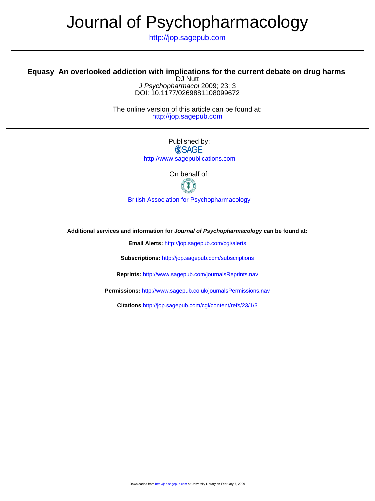## Journal of Psychopharmacology

http://jop.sagepub.com

## **Equasy An overlooked addiction with implications for the current debate on drug harms**

DOI: 10.1177/0269881108099672 J Psychopharmacol 2009; 23; 3 DJ Nutt

http://jop.sagepub.com The online version of this article can be found at:

> Published by: **SSAGE** http://www.sagepublications.com

> > On behalf of:



[British Association for Psychopharmacology](http://www.bap.org.uk/)

**Additional services and information for Journal of Psychopharmacology can be found at:**

**Email Alerts:** <http://jop.sagepub.com/cgi/alerts>

**Subscriptions:** <http://jop.sagepub.com/subscriptions>

**Reprints:** <http://www.sagepub.com/journalsReprints.nav>

**Permissions:** <http://www.sagepub.co.uk/journalsPermissions.nav>

**Citations** <http://jop.sagepub.com/cgi/content/refs/23/1/3>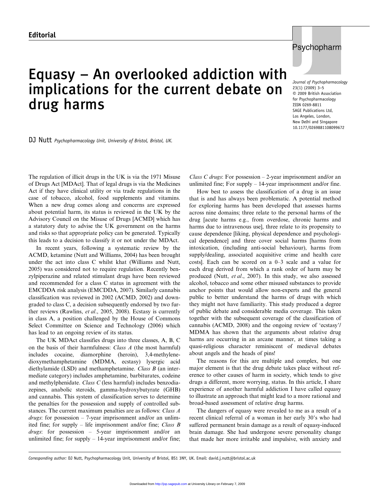## Equasy – An overlooked addiction with implications for the current debate on drug harms



Journal of Psychopharmacology 23(1) (2009) 3–5 © 2009 British Association for Psychopharmacology ISSN 0269-8811 SAGE Publications Ltd, Los Angeles, London, New Delhi and Singapore 10.1177/0269881108099672

DJ Nutt Psychopharmacology Unit, University of Bristol, Bristol, UK.

The regulation of illicit drugs in the UK is via the 1971 Misuse of Drugs Act [MDAct]. That of legal drugs is via the Medicines Act if they have clinical utility or via trade regulations in the case of tobacco, alcohol, food supplements and vitamins. When a new drug comes along and concerns are expressed about potential harm, its status is reviewed in the UK by the Advisory Council on the Misuse of Drugs [ACMD] which has a statutory duty to advise the UK government on the harms and risks so that appropriate policy can be generated. Typically this leads to a decision to classify it or not under the MDAct.

In recent years, following a systematic review by the ACMD, ketamine (Nutt and Williams, 2004) has been brought under the act into class C whilst khat (Williams and Nutt, 2005) was considered not to require regulation. Recently benzylpiperazine and related stimulant drugs have been reviewed and recommended for a class C status in agreement with the EMCDDA risk analysis (EMCDDA, 2007). Similarly cannabis classification was reviewed in 2002 (ACMD, 2002) and downgraded to class C, a decision subsequently endorsed by two further reviews (Rawlins, et al., 2005, 2008). Ecstasy is currently in class A, a position challenged by the House of Commons Select Committee on Science and Technology (2006) which has lead to an ongoing review of its status.

The UK MDAct classifies drugs into three classes, A, B, C on the basis of their harmfulness: Class A (the most harmful) includes cocaine, diamorphine (heroin), 3,4-methylenedioxymethamphetamine (MDMA, ecstasy) lysergic acid diethylamide (LSD) and methamphetamine. Class B (an intermediate category) includes amphetamine, barbiturates, codeine and methylphenidate. Class C (less harmful) includes benzodiazepines, anabolic steroids, gamma-hydroxybutyrate (GHB) and cannabis. This system of classification serves to determine the penalties for the possession and supply of controlled substances. The current maximum penalties are as follows: Class A *drugs*: for possession  $-7$ -year imprisonment and/or an unlimited fine; for supply – life imprisonment and/or fine; Class  $B$ drugs: for possession – 5-year imprisonment and/or an unlimited fine; for supply – 14-year imprisonment and/or fine;

Class C drugs: For possession  $-2$ -year imprisonment and/or an unlimited fine; For supply – 14-year imprisonment and/or fine.

How best to assess the classification of a drug is an issue that is and has always been problematic. A potential method for exploring harms has been developed that assesses harms across nine domains; three relate to the personal harms of the drug [acute harms e.g., from overdose, chronic harms and harms due to intravenous use], three relate to its propensity to cause dependence [liking, physical dependence and psychological dependence] and three cover social harms [harms from intoxication, (including anti-social behaviour), harms from supply/dealing, associated acquisitive crime and health care costs]. Each can be scored on a 0–3 scale and a value for each drug derived from which a rank order of harm may be produced (Nutt, et al., 2007). In this study, we also assessed alcohol, tobacco and some other misused substances to provide anchor points that would allow non-experts and the general public to better understand the harms of drugs with which they might not have familiarity. This study produced a degree of public debate and considerable media coverage. This taken together with the subsequent coverage of the classification of cannabis (ACMD, 2008) and the ongoing review of 'ecstasy'/ MDMA has shown that the arguments about relative drug harms are occurring in an arcane manner, at times taking a quasi-religious character reminiscent of medieval debates about angels and the heads of pins!

The reasons for this are multiple and complex, but one major element is that the drug debate takes place without reference to other causes of harm in society, which tends to give drugs a different, more worrying, status. In this article, I share experience of another harmful addiction I have called equasy to illustrate an approach that might lead to a more rational and broad-based assessment of relative drug harms.

The dangers of equasy were revealed to me as a result of a recent clinical referral of a woman in her early 30's who had suffered permanent brain damage as a result of equasy-induced brain damage. She had undergone severe personality change that made her more irritable and impulsive, with anxiety and

Corresponding author: DJ Nutt, Psychopharmacology Unit, University of Bristol, BS1 3NY, UK. Email: david.j.nutt@bristol.ac.uk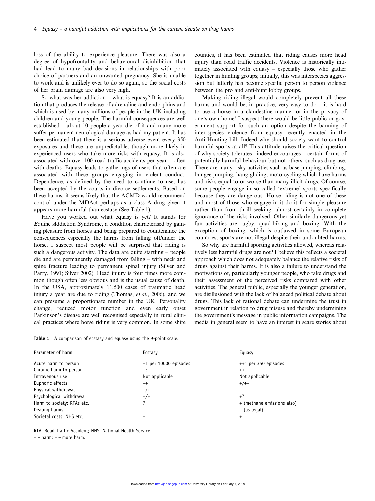loss of the ability to experience pleasure. There was also a degree of hypofrontality and behavioural disinhibition that had lead to many bad decisions in relationships with poor choice of partners and an unwanted pregnancy. She is unable to work and is unlikely ever to do so again, so the social costs of her brain damage are also very high.

So what was her addiction – what is equasy? It is an addiction that produces the release of adrenaline and endorphins and which is used by many millions of people in the UK including children and young people. The harmful consequences are well established – about 10 people a year die of it and many more suffer permanent neurological damage as had my patient. It has been estimated that there is a serious adverse event every 350 exposures and these are unpredictable, though more likely in experienced users who take more risks with equasy. It is also associated with over 100 road traffic accidents per year – often with deaths. Equasy leads to gatherings of users that often are associated with these groups engaging in violent conduct. Dependence, as defined by the need to continue to use, has been accepted by the courts in divorce settlements. Based on these harms, it seems likely that the ACMD would recommend control under the MDAct perhaps as a class A drug given it appears more harmful than ecstasy (See Table 1).

Have you worked out what equasy is yet? It stands for Equine Addiction Syndrome, a condition characterised by gaining pleasure from horses and being prepared to countenance the consequences especially the harms from falling off/under the horse. I suspect most people will be surprised that riding is such a dangerous activity. The data are quite startling – people die and are permanently damaged from falling – with neck and spine fracture leading to permanent spinal injury (Silver and Parry, 1991; Silver 2002). Head injury is four times more common though often less obvious and is the usual cause of death. In the USA, approximately 11,500 cases of traumatic head injury a year are due to riding (Thomas, et al., 2006), and we can presume a proportionate number in the UK. Personality change, reduced motor function and even early onset Parkinson's disease are well recognised especially in rural clinical practices where horse riding is very common. In some shire counties, it has been estimated that riding causes more head injury than road traffic accidents. Violence is historically intimately associated with equasy – especially those who gather together in hunting groups; initially, this was interspecies aggression but latterly has become specific person to person violence between the pro and anti-hunt lobby groups.

Making riding illegal would completely prevent all these harms and would be, in practice, very easy to do – it is hard to use a horse in a clandestine manner or in the privacy of one's own home! I suspect there would be little public or government support for such an option despite the banning of inter-species violence from equasy recently enacted in the Anti-Hunting bill. Indeed why should society want to control harmful sports at all? This attitude raises the critical question of why society tolerates –indeed encourages – certain forms of potentially harmful behaviour but not others, such as drug use. There are many risky activities such as base jumping, climbing, bungee jumping, hang-gliding, motorcycling which have harms and risks equal to or worse than many illicit drugs. Of course, some people engage in so called 'extreme' sports specifically because they are dangerous. Horse riding is not one of these and most of those who engage in it do it for simple pleasure rather than from thrill seeking, almost certainly in complete ignorance of the risks involved. Other similarly dangerous yet fun activities are rugby, quad-biking and boxing. With the exception of boxing, which is outlawed in some European countries, sports are not illegal despite their undoubted harms.

So why are harmful sporting activities allowed, whereas relatively less harmful drugs are not? I believe this reflects a societal approach which does not adequately balance the relative risks of drugs against their harms. It is also a failure to understand the motivations of, particularly younger people, who take drugs and their assessment of the perceived risks compared with other activities. The general public, especially the younger generation, are disillusioned with the lack of balanced political debate about drugs. This lack of rational debate can undermine the trust in government in relation to drug misuse and thereby undermining the government's message in public information campaigns. The media in general seem to have an interest in scare stories about

| Table 1 A comparison of ecstasy and equasy using the 9-point scale. |  |  |  |  |  |
|---------------------------------------------------------------------|--|--|--|--|--|
|                                                                     |  |  |  |  |  |

| Parameter of harm          | Ecstasy               | Equasy                     |  |  |
|----------------------------|-----------------------|----------------------------|--|--|
| Acute harm to person       | +1 per 10000 episodes | ++1 per 350 episodes       |  |  |
| Chronic harm to person     | $+?$                  | $^{++}$                    |  |  |
| Intravenous use            | Not applicable        | Not applicable             |  |  |
| Euphoric effects           | $^{++}$               | $+/++$                     |  |  |
| Physical withdrawal        | $-\big/+\big)$        |                            |  |  |
| Psychological withdrawal   | $-/+$                 | $+?$                       |  |  |
| Harm to society: RTAs etc. |                       | + (methane emissions also) |  |  |
| Dealing harms              | $\ddot{}$             | - (as legal)               |  |  |
| Societal costs: NHS etc.   | $\ddot{}$             | $\ddot{}$                  |  |  |

RTA, Road Traffic Accident; NHS, National Health Service.

− = harm; + = more harm.